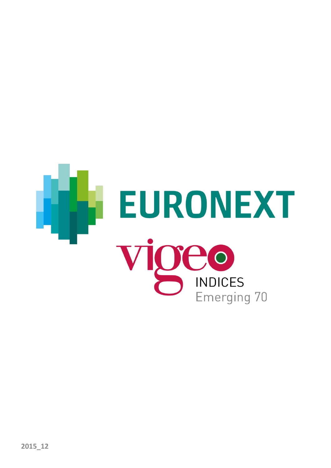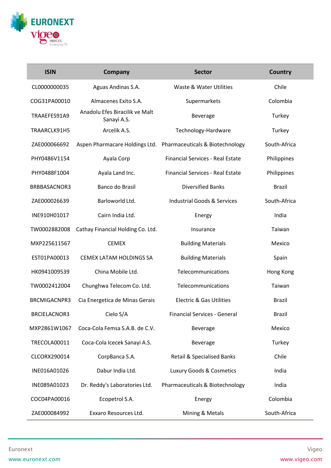

| <b>ISIN</b>         | Company                                       | <b>Sector</b>                                                  | <b>Country</b> |
|---------------------|-----------------------------------------------|----------------------------------------------------------------|----------------|
| CL0000000035        | Aguas Andinas S.A.                            | Waste & Water Utilities                                        | Chile          |
| COG31PA00010        | Almacenes Exito S.A.                          | Supermarkets                                                   | Colombia       |
| TRAAEFES91A9        | Anadolu Efes Biracilik ve Malt<br>Sanayi A.S. | Beverage                                                       | Turkey         |
| TRAARCLK91H5        | Arcelik A.S.                                  | Technology-Hardware                                            | Turkey         |
| ZAE000066692        |                                               | Aspen Pharmacare Holdings Ltd. Pharmaceuticals & Biotechnology | South-Africa   |
| PHY0486V1154        | Ayala Corp                                    | <b>Financial Services - Real Estate</b>                        | Philippines    |
| PHY0488F1004        | Ayala Land Inc.                               | <b>Financial Services - Real Estate</b>                        | Philippines    |
| BRBBASACNOR3        | Banco do Brasil                               | <b>Diversified Banks</b>                                       | <b>Brazil</b>  |
| ZAE000026639        | Barloworld Ltd.                               | <b>Industrial Goods &amp; Services</b>                         | South-Africa   |
| INE910H01017        | Cairn India Ltd.                              | Energy                                                         | India          |
| TW0002882008        | Cathay Financial Holding Co. Ltd.             | Insurance                                                      | Taiwan         |
| MXP225611567        | <b>CEMEX</b>                                  | <b>Building Materials</b>                                      | Mexico         |
| EST01PA00013        | CEMEX LATAM HOLDINGS SA                       | <b>Building Materials</b>                                      | Spain          |
| HK0941009539        | China Mobile Ltd.                             | Telecommunications                                             | Hong Kong      |
| TW0002412004        | Chunghwa Telecom Co. Ltd.                     | Telecommunications                                             | Taiwan         |
| <b>BRCMIGACNPR3</b> | Cia Energetica de Minas Gerais                | <b>Electric &amp; Gas Utilities</b>                            | <b>Brazil</b>  |
| <b>BRCIELACNOR3</b> | Cielo S/A                                     | Financial Services - General                                   | <b>Brazil</b>  |
| MXP2861W1067        | Coca-Cola Femsa S.A.B. de C.V.                | Beverage                                                       | Mexico         |
| TRECOLA00011        | Coca-Cola Icecek Sanayi A.S.                  | Beverage                                                       | Turkey         |
| CLCORX290014        | CorpBanca S.A.                                | <b>Retail &amp; Specialised Banks</b>                          | Chile          |
| INE016A01026        | Dabur India Ltd.                              | Luxury Goods & Cosmetics                                       | India          |
| INE089A01023        | Dr. Reddy's Laboratories Ltd.                 | Pharmaceuticals & Biotechnology                                | India          |
| COC04PA00016        | Ecopetrol S.A.                                | Energy                                                         | Colombia       |
| ZAE000084992        | Exxaro Resources Ltd.                         | Mining & Metals                                                | South-Africa   |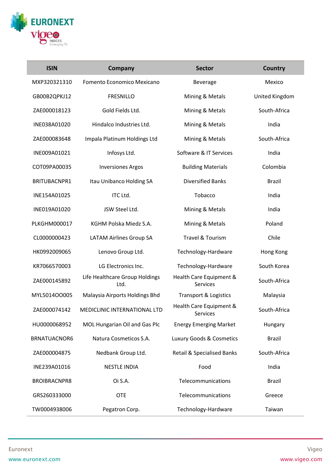

I

| <b>ISIN</b>         | <b>Company</b>                         | <b>Sector</b>                         | <b>Country</b> |
|---------------------|----------------------------------------|---------------------------------------|----------------|
| MXP320321310        | Fomento Economico Mexicano             | Beverage                              | Mexico         |
| GB00B2QPKJ12        | <b>FRESNILLO</b>                       | Mining & Metals                       | United Kingdom |
| ZAE000018123        | Gold Fields Ltd.                       | Mining & Metals                       | South-Africa   |
| INE038A01020        | Hindalco Industries Ltd.               | Mining & Metals                       | India          |
| ZAE000083648        | Impala Platinum Holdings Ltd           | Mining & Metals                       | South-Africa   |
| INE009A01021        | Infosys Ltd.                           | Software & IT Services                | India          |
| COT09PA00035        | <b>Inversiones Argos</b>               | <b>Building Materials</b>             | Colombia       |
| BRITUBACNPR1        | Itau Unibanco Holding SA               | <b>Diversified Banks</b>              | <b>Brazil</b>  |
| INE154A01025        | ITC Ltd.                               | Tobacco                               | India          |
| INE019A01020        | JSW Steel Ltd.                         | Mining & Metals                       | India          |
| PLKGHM000017        | KGHM Polska Miedz S.A.                 | Mining & Metals                       | Poland         |
| CL0000000423        | <b>LATAM Airlines Group SA</b>         | Travel & Tourism                      | Chile          |
| HK0992009065        | Lenovo Group Ltd.                      | Technology-Hardware                   | Hong Kong      |
| KR7066570003        | LG Electronics Inc.                    | Technology-Hardware                   | South Korea    |
| ZAE000145892        | Life Healthcare Group Holdings<br>Ltd. | Health Care Equipment &<br>Services   | South-Africa   |
| MYL5014OO005        | Malaysia Airports Holdings Bhd         | <b>Transport &amp; Logistics</b>      | Malaysia       |
| ZAE000074142        | MEDICLINIC INTERNATIONAL LTD           | Health Care Equipment &<br>Services   | South-Africa   |
| HU0000068952        | MOL Hungarian Oil and Gas Plc          | <b>Energy Emerging Market</b>         | Hungary        |
| BRNATUACNOR6        | Natura Cosmeticos S.A.                 | Luxury Goods & Cosmetics              | <b>Brazil</b>  |
| ZAE000004875        | Nedbank Group Ltd.                     | <b>Retail &amp; Specialised Banks</b> | South-Africa   |
| INE239A01016        | <b>NESTLE INDIA</b>                    | Food                                  | India          |
| <b>BROIBRACNPR8</b> | Oi S.A.                                | Telecommunications                    | <b>Brazil</b>  |
| GRS260333000        | <b>OTE</b>                             | Telecommunications                    | Greece         |
| TW0004938006        | Pegatron Corp.                         | Technology-Hardware                   | Taiwan         |